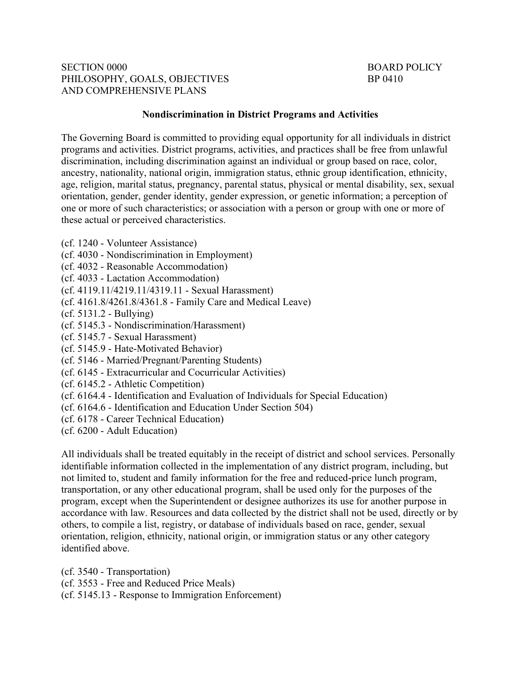## **SECTION 0000** PHILOSOPHY, GOALS, OBJECTIVES BP 0410 AND COMPREHENSIVE PLANS

## BOARD POLICY

## **Nondiscrimination in District Programs and Activities**

The Governing Board is committed to providing equal opportunity for all individuals in district programs and activities. District programs, activities, and practices shall be free from unlawful discrimination, including discrimination against an individual or group based on race, color, ancestry, nationality, national origin, immigration status, ethnic group identification, ethnicity, age, religion, marital status, pregnancy, parental status, physical or mental disability, sex, sexual orientation, gender, gender identity, gender expression, or genetic information; a perception of one or more of such characteristics; or association with a person or group with one or more of these actual or perceived characteristics.

- (cf. 1240 Volunteer Assistance)
- (cf. 4030 Nondiscrimination in Employment)
- (cf. 4032 Reasonable Accommodation)
- (cf. 4033 Lactation Accommodation)
- (cf. [4119.11/4219.11/4319.11](https://4119.11/4219.11/4319.11) Sexual Harassment)
- (cf. 4161.8/4261.8/4361.8 Family Care and Medical Leave)
- (cf. 5131.2 Bullying)
- (cf. 5145.3 Nondiscrimination/Harassment)
- (cf. 5145.7 Sexual Harassment)
- (cf. 5145.9 Hate-Motivated Behavior)
- (cf. 5146 Married/Pregnant/Parenting Students)
- (cf. 6145 Extracurricular and Cocurricular Activities)
- (cf. 6145.2 Athletic Competition)
- (cf. 6164.4 Identification and Evaluation of Individuals for Special Education)
- (cf. 6164.6 Identification and Education Under Section 504)
- (cf. 6178 Career Technical Education)
- (cf. 6200 Adult Education)

All individuals shall be treated equitably in the receipt of district and school services. Personally identifiable information collected in the implementation of any district program, including, but not limited to, student and family information for the free and reduced-price lunch program, transportation, or any other educational program, shall be used only for the purposes of the program, except when the Superintendent or designee authorizes its use for another purpose in accordance with law. Resources and data collected by the district shall not be used, directly or by others, to compile a list, registry, or database of individuals based on race, gender, sexual orientation, religion, ethnicity, national origin, or immigration status or any other category identified above.

(cf. 3540 - Transportation) (cf. 3553 - Free and Reduced Price Meals) (cf. 5145.13 - Response to Immigration Enforcement)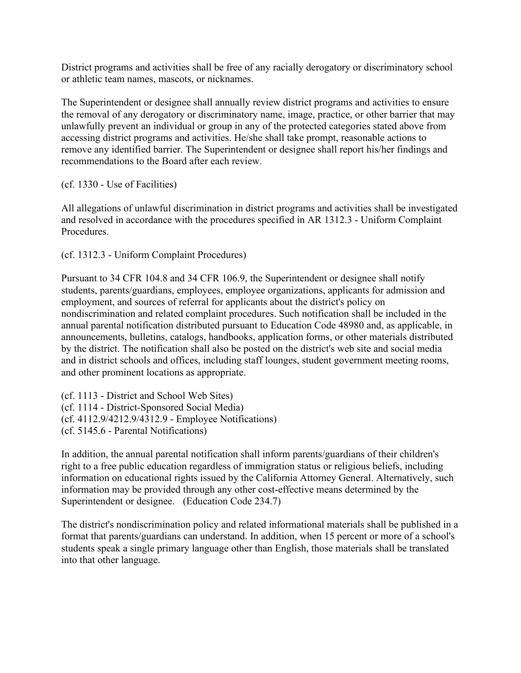District programs and activities shall be free of any racially derogatory or discriminatory school or athletic team names, mascots, or nicknames.

The Superintendent or designee shall annually review district programs and activities to ensure the removal of any derogatory or discriminatory name, image, practice, or other barrier that may unlawfully prevent an individual or group in any of the protected categories stated above from accessing district programs and activities. He/she shall take prompt, reasonable actions to remove any identified barrier. The Superintendent or designee shall report his/her findings and recommendations to the Board after each review.

(cf. 1330 - Use of Facilities)

All allegations of unlawful discrimination in district programs and activities shall be investigated and resolved in accordance with the procedures specified in AR 1312.3 - Uniform Complaint Procedures.

(cf. 1312.3 - Uniform Complaint Procedures)

Pursuant to 34 CFR 104.8 and 34 CFR 106.9, the Superintendent or designee shall notify students, parents/guardians, employees, employee organizations, applicants for admission and employment, and sources of referral for applicants about the district's policy on nondiscrimination and related complaint procedures. Such notification shall be included in the annual parental notification distributed pursuant to Education Code 48980 and, as applicable, in announcements, bulletins, catalogs, handbooks, application forms, or other materials distributed by the district. The notification shall also be posted on the district's web site and social media and in district schools and offices, including staff lounges, student government meeting rooms, and other prominent locations as appropriate.

(cf. 1113 - District and School Web Sites) (cf. 1114 - District-Sponsored Social Media) (cf. 4112.9/4212.9/4312.9 - Employee Notifications) (cf. 5145.6 - Parental Notifications)

In addition, the annual parental notification shall inform parents/guardians of their children's right to a free public education regardless of immigration status or religious beliefs, including information on educational rights issued by the California Attorney General. Alternatively, such information may be provided through any other cost-effective means determined by the Superintendent or designee. (Education Code 234.7)

The district's nondiscrimination policy and related informational materials shall be published in a format that parents/guardians can understand. In addition, when 15 percent or more of a school's students speak a single primary language other than English, those materials shall be translated into that other language.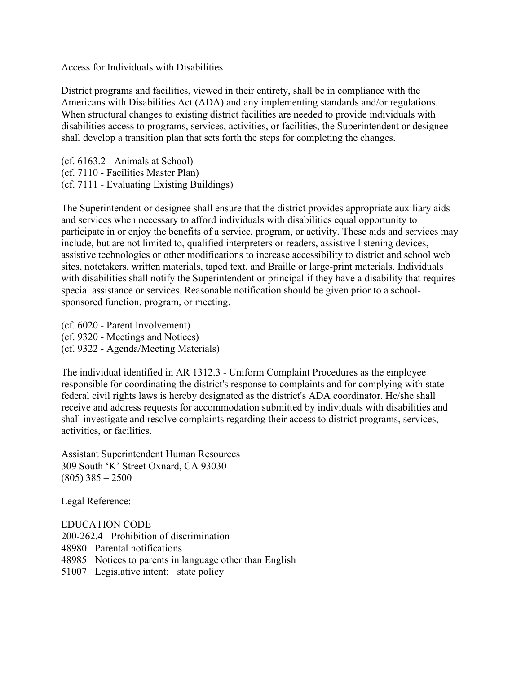Access for Individuals with Disabilities

District programs and facilities, viewed in their entirety, shall be in compliance with the Americans with Disabilities Act (ADA) and any implementing standards and/or regulations. When structural changes to existing district facilities are needed to provide individuals with disabilities access to programs, services, activities, or facilities, the Superintendent or designee shall develop a transition plan that sets forth the steps for completing the changes.

(cf. 6163.2 - Animals at School) (cf. 7110 - Facilities Master Plan) (cf. 7111 - Evaluating Existing Buildings)

 assistive technologies or other modifications to increase accessibility to district and school web sites, notetakers, written materials, taped text, and Braille or large-print materials. Individuals The Superintendent or designee shall ensure that the district provides appropriate auxiliary aids and services when necessary to afford individuals with disabilities equal opportunity to participate in or enjoy the benefits of a service, program, or activity. These aids and services may include, but are not limited to, qualified interpreters or readers, assistive listening devices, with disabilities shall notify the Superintendent or principal if they have a disability that requires special assistance or services. Reasonable notification should be given prior to a schoolsponsored function, program, or meeting.

(cf. 6020 - Parent Involvement) (cf. 9320 - Meetings and Notices) (cf. 9322 - Agenda/Meeting Materials)

The individual identified in AR 1312.3 - Uniform Complaint Procedures as the employee responsible for coordinating the district's response to complaints and for complying with state federal civil rights laws is hereby designated as the district's ADA coordinator. He/she shall receive and address requests for accommodation submitted by individuals with disabilities and shall investigate and resolve complaints regarding their access to district programs, services, activities, or facilities.

 (805) 385 – 2500 Assistant Superintendent Human Resources 309 South 'K' Street Oxnard, CA 93030

Legal Reference:

EDUCATION CODE 200-262.4 Prohibition of discrimination 48980 Parental notifications 48985 Notices to parents in language other than English 51007 Legislative intent: state policy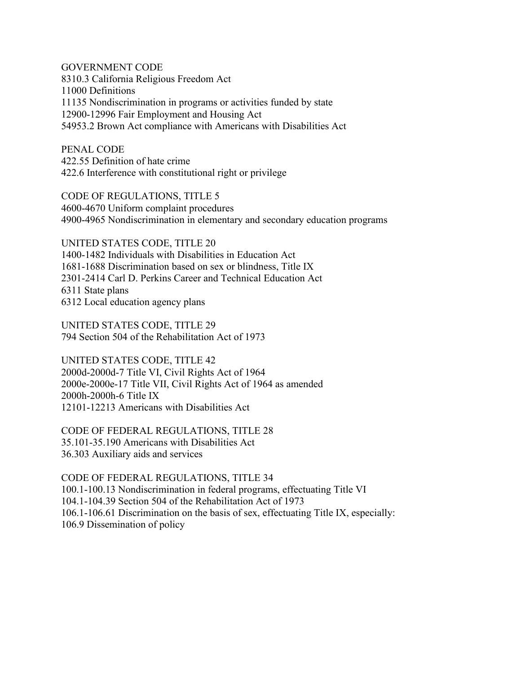GOVERNMENT CODE 8310.3 California Religious Freedom Act 11000 Definitions 11135 Nondiscrimination in programs or activities funded by state 12900-12996 Fair Employment and Housing Act 54953.2 Brown Act compliance with Americans with Disabilities Act

PENAL CODE 422.55 Definition of hate crime 422.6 Interference with constitutional right or privilege

CODE OF REGULATIONS, TITLE 5 4600-4670 Uniform complaint procedures 4900-4965 Nondiscrimination in elementary and secondary education programs

UNITED STATES CODE, TITLE 20 1400-1482 Individuals with Disabilities in Education Act 1681-1688 Discrimination based on sex or blindness, Title IX 2301-2414 Carl D. Perkins Career and Technical Education Act 6311 State plans 6312 Local education agency plans

UNITED STATES CODE, TITLE 29 794 Section 504 of the Rehabilitation Act of 1973

 2000e-2000e-17 Title VII, Civil Rights Act of 1964 as amended UNITED STATES CODE, TITLE 42 2000d-2000d-7 Title VI, Civil Rights Act of 1964 2000h-2000h-6 Title IX 12101-12213 Americans with Disabilities Act

CODE OF FEDERAL REGULATIONS, TITLE 28 35.101-35.190 Americans with Disabilities Act 36.303 Auxiliary aids and services

CODE OF FEDERAL REGULATIONS, TITLE 34 [100.1-100.13](https://100.1-100.13) Nondiscrimination in federal programs, effectuating Title VI [104.1-104.39](https://104.1-104.39) Section 504 of the Rehabilitation Act of 1973 [106.1-106.61](https://106.1-106.61) Discrimination on the basis of sex, effectuating Title IX, especially: 106.9 Dissemination of policy